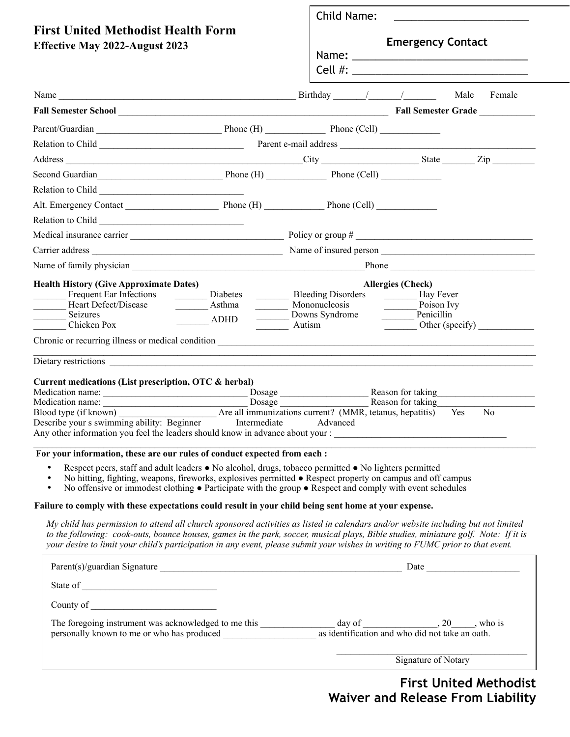|                                                                                                                                                                                                                                                                                                                                                                                                                                                                                                                                                                                                                                                                                                                                                                                                                                             |                                                                                                                                                    | Child Name:<br><b>Emergency Contact</b>                                         |                                                                                                |                          |
|---------------------------------------------------------------------------------------------------------------------------------------------------------------------------------------------------------------------------------------------------------------------------------------------------------------------------------------------------------------------------------------------------------------------------------------------------------------------------------------------------------------------------------------------------------------------------------------------------------------------------------------------------------------------------------------------------------------------------------------------------------------------------------------------------------------------------------------------|----------------------------------------------------------------------------------------------------------------------------------------------------|---------------------------------------------------------------------------------|------------------------------------------------------------------------------------------------|--------------------------|
| <b>First United Methodist Health Form</b><br><b>Effective May 2022-August 2023</b>                                                                                                                                                                                                                                                                                                                                                                                                                                                                                                                                                                                                                                                                                                                                                          |                                                                                                                                                    |                                                                                 |                                                                                                |                          |
|                                                                                                                                                                                                                                                                                                                                                                                                                                                                                                                                                                                                                                                                                                                                                                                                                                             |                                                                                                                                                    |                                                                                 |                                                                                                |                          |
| <b>Fall Semester School Example 2 Fall Semester Grade</b>                                                                                                                                                                                                                                                                                                                                                                                                                                                                                                                                                                                                                                                                                                                                                                                   |                                                                                                                                                    |                                                                                 |                                                                                                |                          |
|                                                                                                                                                                                                                                                                                                                                                                                                                                                                                                                                                                                                                                                                                                                                                                                                                                             |                                                                                                                                                    |                                                                                 |                                                                                                |                          |
|                                                                                                                                                                                                                                                                                                                                                                                                                                                                                                                                                                                                                                                                                                                                                                                                                                             |                                                                                                                                                    |                                                                                 |                                                                                                |                          |
|                                                                                                                                                                                                                                                                                                                                                                                                                                                                                                                                                                                                                                                                                                                                                                                                                                             |                                                                                                                                                    |                                                                                 |                                                                                                |                          |
| Second Guardian<br>Phone (H) Phone (Cell) Phone (Cell)                                                                                                                                                                                                                                                                                                                                                                                                                                                                                                                                                                                                                                                                                                                                                                                      |                                                                                                                                                    |                                                                                 |                                                                                                |                          |
|                                                                                                                                                                                                                                                                                                                                                                                                                                                                                                                                                                                                                                                                                                                                                                                                                                             |                                                                                                                                                    |                                                                                 |                                                                                                |                          |
|                                                                                                                                                                                                                                                                                                                                                                                                                                                                                                                                                                                                                                                                                                                                                                                                                                             |                                                                                                                                                    |                                                                                 |                                                                                                |                          |
|                                                                                                                                                                                                                                                                                                                                                                                                                                                                                                                                                                                                                                                                                                                                                                                                                                             |                                                                                                                                                    |                                                                                 |                                                                                                |                          |
|                                                                                                                                                                                                                                                                                                                                                                                                                                                                                                                                                                                                                                                                                                                                                                                                                                             |                                                                                                                                                    |                                                                                 |                                                                                                |                          |
|                                                                                                                                                                                                                                                                                                                                                                                                                                                                                                                                                                                                                                                                                                                                                                                                                                             |                                                                                                                                                    |                                                                                 |                                                                                                |                          |
|                                                                                                                                                                                                                                                                                                                                                                                                                                                                                                                                                                                                                                                                                                                                                                                                                                             |                                                                                                                                                    |                                                                                 |                                                                                                |                          |
| <b>Health History (Give Approximate Dates)</b><br>Frequent Ear Infections<br>Heart Defect/Disease<br>Seizures<br>Chicken Pox<br>Dietary restrictions<br>Current medications (List prescription, OTC & herbal)                                                                                                                                                                                                                                                                                                                                                                                                                                                                                                                                                                                                                               | Diabetes<br>Asthma<br>$\overline{\phantom{a}}$ ADHD<br>Autism<br>,我们也不能在这里的时候,我们也不能在这里的时候,我们也不能在这里的时候,我们也不能会在这里的时候,我们也不能会在这里的时候,我们也不能会在这里的时候,我们也不能 | Bleeding Disorders <u>________</u> Hay Fever<br>Mononucleosis<br>Downs Syndrome | <b>Allergies (Check)</b><br>$\frac{1}{\sqrt{2}}$ Poison Ivy<br>Penicillin<br>Reason for taking | Other (specify) $\qquad$ |
| Medication name: Dosage Blood type (if known)<br>Blood type (if known) Are all immunizations current? (MMR, tetanus, hepatitis) Yes<br>Describe your s swimming ability: Beginner<br>Intermediate Advanced                                                                                                                                                                                                                                                                                                                                                                                                                                                                                                                                                                                                                                  |                                                                                                                                                    |                                                                                 |                                                                                                | N <sub>0</sub>           |
| For your information, these are our rules of conduct expected from each :<br>Respect peers, staff and adult leaders • No alcohol, drugs, tobacco permitted • No lighters permitted<br>No hitting, fighting, weapons, fireworks, explosives permitted • Respect property on campus and off campus<br>$\bullet$<br>No offensive or immodest clothing $\bullet$ Participate with the group $\bullet$ Respect and comply with event schedules<br>$\bullet$<br>Failure to comply with these expectations could result in your child being sent home at your expense.<br>My child has permission to attend all church sponsored activities as listed in calendars and/or website including but not limited<br>to the following: cook-outs, bounce houses, games in the park, soccer, musical plays, Bible studies, miniature golf. Note: If it is |                                                                                                                                                    |                                                                                 |                                                                                                |                          |
| your desire to limit your child's participation in any event, please submit your wishes in writing to FUMC prior to that event.                                                                                                                                                                                                                                                                                                                                                                                                                                                                                                                                                                                                                                                                                                             |                                                                                                                                                    |                                                                                 |                                                                                                |                          |
|                                                                                                                                                                                                                                                                                                                                                                                                                                                                                                                                                                                                                                                                                                                                                                                                                                             |                                                                                                                                                    |                                                                                 |                                                                                                |                          |
|                                                                                                                                                                                                                                                                                                                                                                                                                                                                                                                                                                                                                                                                                                                                                                                                                                             |                                                                                                                                                    |                                                                                 |                                                                                                |                          |
|                                                                                                                                                                                                                                                                                                                                                                                                                                                                                                                                                                                                                                                                                                                                                                                                                                             |                                                                                                                                                    |                                                                                 |                                                                                                |                          |
|                                                                                                                                                                                                                                                                                                                                                                                                                                                                                                                                                                                                                                                                                                                                                                                                                                             |                                                                                                                                                    |                                                                                 |                                                                                                |                          |

## **First United Methodist Waiver and Release From Liability**